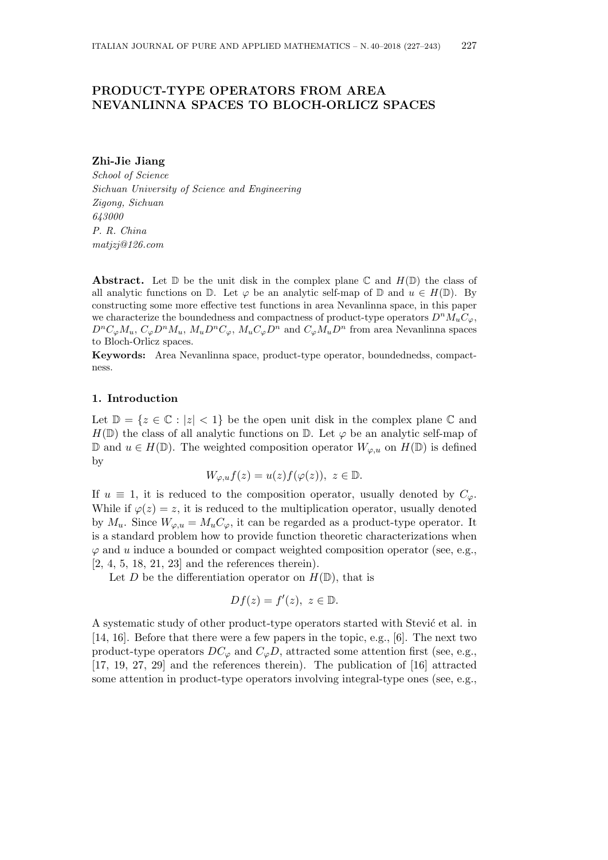# **PRODUCT-TYPE OPERATORS FROM AREA NEVANLINNA SPACES TO BLOCH-ORLICZ SPACES**

**Zhi-Jie Jiang**

*School of Science Sichuan University of Science and Engineering Zigong, Sichuan 643000 P. R. China matjzj@126.com*

**Abstract.** Let  $\mathbb{D}$  be the unit disk in the complex plane  $\mathbb{C}$  and  $H(\mathbb{D})$  the class of all analytic functions on  $\mathbb{D}$ . Let  $\varphi$  be an analytic self-map of  $\mathbb{D}$  and  $u \in H(\mathbb{D})$ . By constructing some more effective test functions in area Nevanlinna space, in this paper we characterize the boundedness and compactness of product-type operators  $D^n M_u C_\varphi$ ,  $D^nC_{\varphi}M_u$ ,  $C_{\varphi}D^nM_u$ ,  $M_uD^nC_{\varphi}$ ,  $M_uC_{\varphi}D^n$  and  $C_{\varphi}M_uD^n$  from area Nevanlinna spaces to Bloch-Orlicz spaces.

**Keywords:** Area Nevanlinna space, product-type operator, boundednedss, compactness.

# **1. Introduction**

Let  $\mathbb{D} = \{z \in \mathbb{C} : |z| < 1\}$  be the open unit disk in the complex plane  $\mathbb{C}$  and  $H(\mathbb{D})$  the class of all analytic functions on  $\mathbb{D}$ . Let  $\varphi$  be an analytic self-map of D and *u* ∈ *H*(D). The weighted composition operator  $W_{\varphi, u}$  on  $H$ (D) is defined by

$$
W_{\varphi, u}f(z) = u(z)f(\varphi(z)), \ z \in \mathbb{D}.
$$

If  $u \equiv 1$ , it is reduced to the composition operator, usually denoted by  $C_{\varphi}$ . While if  $\varphi(z) = z$ , it is reduced to the multiplication operator, usually denoted by  $M_u$ . Since  $W_{\varphi, u} = M_u C_{\varphi}$ , it can be regarded as a product-type operator. It is a standard problem how to provide function theoretic characterizations when  $\varphi$  and *u* induce a bounded or compact weighted composition operator (see, e.g., [2, 4, 5, 18, 21, 23] and the references therein).

Let *D* be the differentiation operator on  $H(\mathbb{D})$ , that is

$$
Df(z) = f'(z), \ z \in \mathbb{D}.
$$

A systematic study of other product-type operators started with Stević et al. in [14, 16]. Before that there were a few papers in the topic, e.g., [6]. The next two product-type operators  $DC_{\varphi}$  and  $C_{\varphi}D$ , attracted some attention first (see, e.g., [17, 19, 27, 29] and the references therein). The publication of [16] attracted some attention in product-type operators involving integral-type ones (see, e.g.,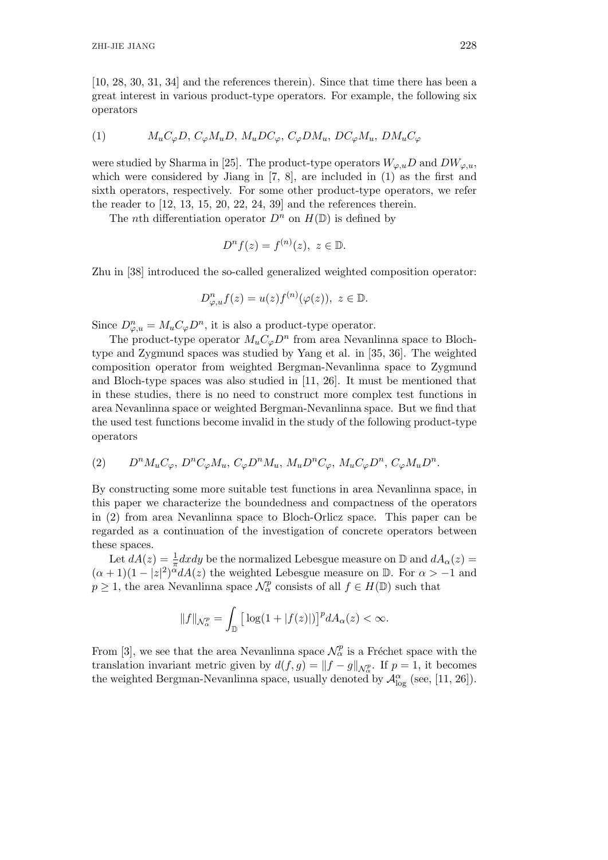[10, 28, 30, 31, 34] and the references therein). Since that time there has been a great interest in various product-type operators. For example, the following six operators

(1) 
$$
M_u C_{\varphi} D, C_{\varphi} M_u D, M_u D C_{\varphi}, C_{\varphi} D M_u, D C_{\varphi} M_u, D M_u C_{\varphi}
$$

were studied by Sharma in [25]. The product-type operators  $W_{\varphi,u}D$  and  $DW_{\varphi,u}$ , which were considered by Jiang in [7, 8], are included in (1) as the first and sixth operators, respectively. For some other product-type operators, we refer the reader to  $[12, 13, 15, 20, 22, 24, 39]$  and the references therein.

The *n*th differentiation operator  $D^n$  on  $H(\mathbb{D})$  is defined by

$$
D^{n} f(z) = f^{(n)}(z), \ z \in \mathbb{D}.
$$

Zhu in [38] introduced the so-called generalized weighted composition operator:

$$
D_{\varphi,u}^n f(z) = u(z) f^{(n)}(\varphi(z)), \ z \in \mathbb{D}.
$$

Since  $D_{\varphi,u}^n = M_u C_{\varphi} D^n$ , it is also a product-type operator.

The product-type operator  $M_u C_\varphi D^n$  from area Nevanlinna space to Blochtype and Zygmund spaces was studied by Yang et al. in [35, 36]. The weighted composition operator from weighted Bergman-Nevanlinna space to Zygmund and Bloch-type spaces was also studied in [11, 26]. It must be mentioned that in these studies, there is no need to construct more complex test functions in area Nevanlinna space or weighted Bergman-Nevanlinna space. But we find that the used test functions become invalid in the study of the following product-type operators

$$
(2) \qquad D^{n}M_{u}C_{\varphi},\ D^{n}C_{\varphi}M_{u},\ C_{\varphi}D^{n}M_{u},\ M_{u}D^{n}C_{\varphi},\ M_{u}C_{\varphi}D^{n},\ C_{\varphi}M_{u}D^{n}.
$$

By constructing some more suitable test functions in area Nevanlinna space, in this paper we characterize the boundedness and compactness of the operators in (2) from area Nevanlinna space to Bloch-Orlicz space. This paper can be regarded as a continuation of the investigation of concrete operators between these spaces.

Let  $dA(z) = \frac{1}{\pi} dxdy$  be the normalized Lebesgue measure on  $\mathbb{D}$  and  $dA_\alpha(z) =$  $(\alpha + 1)(1 - |z|^2)^{\alpha} dA(z)$  the weighted Lebesgue measure on D. For  $\alpha > -1$  and  $p \geq 1$ , the area Nevanlinna space  $\mathcal{N}_{\alpha}^p$  consists of all  $f \in H(\mathbb{D})$  such that

$$
||f||_{\mathcal{N}_{\alpha}^p} = \int_{\mathbb{D}} \left[ \log(1 + |f(z)|) \right]^p dA_{\alpha}(z) < \infty.
$$

From [3], we see that the area Nevanlinna space  $\mathcal{N}_{\alpha}^p$  is a Fréchet space with the translation invariant metric given by  $d(f,g) = ||f - g||_{\mathcal{N}_{\alpha}^p}$ . If  $p = 1$ , it becomes the weighted Bergman-Nevanlinna space, usually denoted by  $\mathcal{A}^{\alpha}_{\log}$  (see, [11, 26]).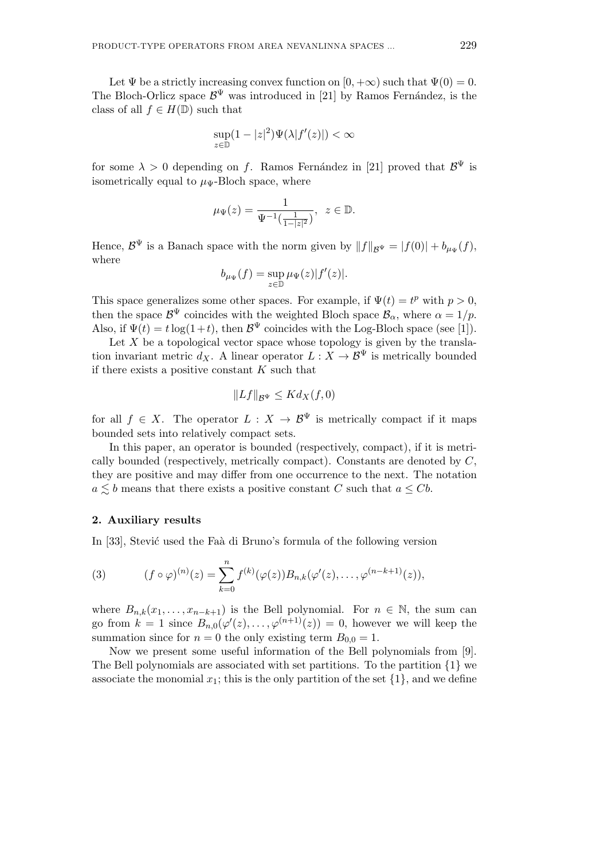Let  $\Psi$  be a strictly increasing convex function on  $[0, +\infty)$  such that  $\Psi(0) = 0$ . The Bloch-Orlicz space  $\mathcal{B}^{\Psi}$  was introduced in [21] by Ramos Fernández, is the class of all  $f \in H(\mathbb{D})$  such that

$$
\sup_{z \in \mathbb{D}} (1 - |z|^2) \Psi(\lambda |f'(z)|) < \infty
$$

for some  $\lambda > 0$  depending on *f*. Ramos Fernández in [21] proved that  $\mathcal{B}^{\Psi}$  is isometrically equal to  $\mu_{\Psi}$ -Bloch space, where

$$
\mu_{\Psi}(z) = \frac{1}{\Psi^{-1}(\frac{1}{1-|z|^2})}, \ z \in \mathbb{D}.
$$

Hence,  $\mathcal{B}^{\Psi}$  is a Banach space with the norm given by  $||f||_{\mathcal{B}^{\Psi}} = |f(0)| + b_{\mu_{\Psi}}(f)$ , where

$$
b_{\mu\Psi}(f) = \sup_{z \in \mathbb{D}} \mu\Psi(z)|f'(z)|.
$$

This space generalizes some other spaces. For example, if  $\Psi(t) = t^p$  with  $p > 0$ , then the space  $\mathcal{B}^{\Psi}$  coincides with the weighted Bloch space  $\mathcal{B}_{\alpha}$ , where  $\alpha = 1/p$ . Also, if  $\Psi(t) = t \log(1+t)$ , then  $\mathcal{B}^{\Psi}$  coincides with the Log-Bloch space (see [1]).

Let  $X$  be a topological vector space whose topology is given by the translation invariant metric  $d_X$ . A linear operator  $L: X \to \mathcal{B}^{\Psi}$  is metrically bounded if there exists a positive constant *K* such that

$$
||Lf||_{\mathcal{B}^{\Psi}} \leq K d_X(f,0)
$$

for all  $f \in X$ . The operator  $L : X \to \mathcal{B}^{\Psi}$  is metrically compact if it maps bounded sets into relatively compact sets.

In this paper, an operator is bounded (respectively, compact), if it is metrically bounded (respectively, metrically compact). Constants are denoted by *C*, they are positive and may differ from one occurrence to the next. The notation  $a \leq b$  means that there exists a positive constant *C* such that  $a \leq Cb$ .

### **2. Auxiliary results**

In [33], Stević used the Faà di Bruno's formula of the following version

(3) 
$$
(f \circ \varphi)^{(n)}(z) = \sum_{k=0}^{n} f^{(k)}(\varphi(z)) B_{n,k}(\varphi'(z), \dots, \varphi^{(n-k+1)}(z)),
$$

where  $B_{n,k}(x_1,\ldots,x_{n-k+1})$  is the Bell polynomial. For  $n \in \mathbb{N}$ , the sum can go from  $k = 1$  since  $B_{n,0}(\varphi'(z), \ldots, \varphi^{(n+1)}(z)) = 0$ , however we will keep the summation since for  $n = 0$  the only existing term  $B_{0,0} = 1$ .

Now we present some useful information of the Bell polynomials from [9]. The Bell polynomials are associated with set partitions. To the partition *{*1*}* we associate the monomial  $x_1$ ; this is the only partition of the set  $\{1\}$ , and we define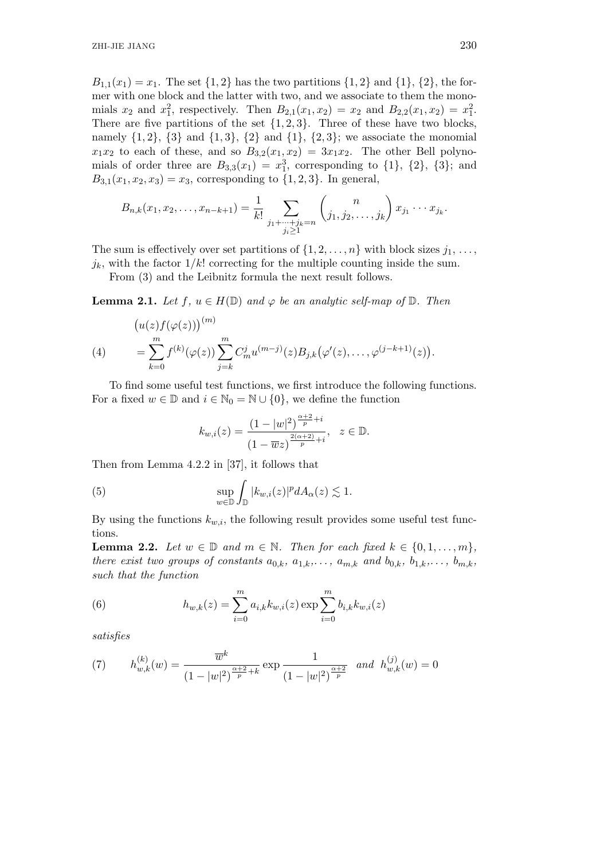*B*<sub>1,1</sub>(*x*<sub>1</sub>) = *x*<sub>1</sub>. The set {1, 2} has the two partitions {1, 2} and {1}, {2}, the former with one block and the latter with two, and we associate to them the monomials  $x_2$  and  $x_1^2$ , respectively. Then  $B_{2,1}(x_1, x_2) = x_2$  and  $B_{2,2}(x_1, x_2) = x_1^2$ . There are five partitions of the set  $\{1, 2, 3\}$ . Three of these have two blocks, namely  $\{1,2\}$ ,  $\{3\}$  and  $\{1,3\}$ ,  $\{2\}$  and  $\{1\}$ ,  $\{2,3\}$ ; we associate the monomial  $x_1x_2$  to each of these, and so  $B_{3,2}(x_1,x_2) = 3x_1x_2$ . The other Bell polynomials of order three are  $B_{3,3}(x_1) = x_1^3$ , corresponding to  $\{1\}$ ,  $\{2\}$ ,  $\{3\}$ ; and  $B_{3,1}(x_1, x_2, x_3) = x_3$ , corresponding to  $\{1, 2, 3\}$ . In general,

$$
B_{n,k}(x_1, x_2, \ldots, x_{n-k+1}) = \frac{1}{k!} \sum_{\substack{j_1 + \cdots + j_k = n \\ j_i \ge 1}} {n \choose j_1, j_2, \ldots, j_k} x_{j_1} \cdots x_{j_k}.
$$

The sum is effectively over set partitions of  $\{1, 2, \ldots, n\}$  with block sizes  $j_1, \ldots,$  $j_k$ , with the factor  $1/k!$  correcting for the multiple counting inside the sum.

From (3) and the Leibnitz formula the next result follows.

**Lemma 2.1.** *Let*  $f, u \in H(\mathbb{D})$  *and*  $\varphi$  *be an analytic self-map of*  $\mathbb{D}$ *. Then* 

(4) 
$$
(u(z)f(\varphi(z)))^{(m)}
$$
  
\n
$$
= \sum_{k=0}^{m} f^{(k)}(\varphi(z)) \sum_{j=k}^{m} C_m^j u^{(m-j)}(z) B_{j,k}(\varphi'(z), \dots, \varphi^{(j-k+1)}(z)).
$$

To find some useful test functions, we first introduce the following functions. For a fixed  $w \in \mathbb{D}$  and  $i \in \mathbb{N}_0 = \mathbb{N} \cup \{0\}$ , we define the function

$$
k_{w,i}(z) = \frac{(1 - |w|^2)^{\frac{\alpha + 2}{p} + i}}{(1 - \overline{w}z)^{\frac{2(\alpha + 2)}{p} + i}}, \quad z \in \mathbb{D}.
$$

Then from Lemma 4.2.2 in [37], it follows that

(5) 
$$
\sup_{w \in \mathbb{D}} \int_{\mathbb{D}} |k_{w,i}(z)|^p dA_{\alpha}(z) \lesssim 1.
$$

By using the functions  $k_{w,i}$ , the following result provides some useful test functions.

**Lemma 2.2.** *Let*  $w \in \mathbb{D}$  *and*  $m \in \mathbb{N}$ *. Then for each fixed*  $k \in \{0, 1, \ldots, m\}$ *, there exist two groups of constants*  $a_{0,k}$ ,  $a_{1,k}, \ldots, a_{m,k}$  and  $b_{0,k}$ ,  $b_{1,k}, \ldots, b_{m,k}$ , *such that the function*

(6) 
$$
h_{w,k}(z) = \sum_{i=0}^{m} a_{i,k} k_{w,i}(z) \exp \sum_{i=0}^{m} b_{i,k} k_{w,i}(z)
$$

*satisfies*

(7) 
$$
h_{w,k}^{(k)}(w) = \frac{\overline{w}^k}{(1-|w|^2)^{\frac{\alpha+2}{p}+k}} \exp \frac{1}{(1-|w|^2)^{\frac{\alpha+2}{p}}} \text{ and } h_{w,k}^{(j)}(w) = 0
$$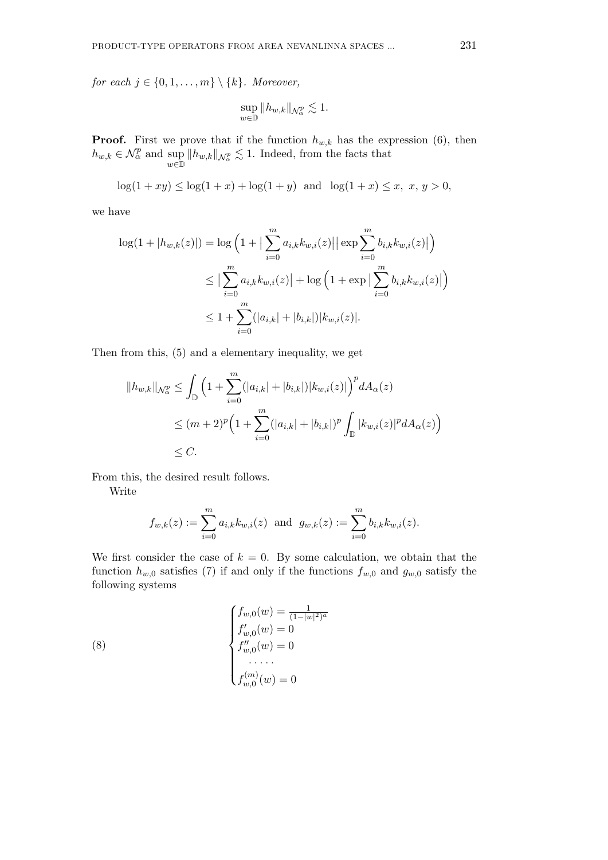*for each*  $j \in \{0, 1, \ldots, m\} \setminus \{k\}$ *. Moreover,* 

$$
\sup_{w\in\mathbb{D}}\|h_{w,k}\|_{\mathcal{N}^p_\alpha}\lesssim 1.
$$

**Proof.** First we prove that if the function  $h_{w,k}$  has the expression (6), then  $h_{w,k} \in \mathcal{N}_{\alpha}^p$  and sup  $\sup_{w \in \mathbb{D}} ||h_{w,k}||_{\mathcal{N}_{\alpha}^p} \lesssim 1$ . Indeed, from the facts that

 $\log(1+xy) \leq \log(1+x) + \log(1+y)$  and  $\log(1+x) \leq x, x, y > 0$ ,

we have

$$
\log(1+|h_{w,k}(z)|) = \log\left(1+\left|\sum_{i=0}^{m} a_{i,k}k_{w,i}(z)\right| \left|\exp\sum_{i=0}^{m} b_{i,k}k_{w,i}(z)\right|\right)
$$
  

$$
\leq \left|\sum_{i=0}^{m} a_{i,k}k_{w,i}(z)\right| + \log\left(1+\exp\left|\sum_{i=0}^{m} b_{i,k}k_{w,i}(z)\right|\right)
$$
  

$$
\leq 1 + \sum_{i=0}^{m} (|a_{i,k}| + |b_{i,k}|)|k_{w,i}(z)|.
$$

Then from this, (5) and a elementary inequality, we get

$$
||h_{w,k}||_{\mathcal{N}_{\alpha}^p} \leq \int_{\mathbb{D}} \left(1 + \sum_{i=0}^m (|a_{i,k}| + |b_{i,k}|) |k_{w,i}(z)|\right)^p dA_{\alpha}(z)
$$
  

$$
\leq (m+2)^p \left(1 + \sum_{i=0}^m (|a_{i,k}| + |b_{i,k}|)^p \int_{\mathbb{D}} |k_{w,i}(z)|^p dA_{\alpha}(z)\right)
$$
  

$$
\leq C.
$$

From this, the desired result follows.

Write

$$
f_{w,k}(z) := \sum_{i=0}^{m} a_{i,k} k_{w,i}(z)
$$
 and  $g_{w,k}(z) := \sum_{i=0}^{m} b_{i,k} k_{w,i}(z)$ .

We first consider the case of  $k = 0$ . By some calculation, we obtain that the function  $h_{w,0}$  satisfies (7) if and only if the functions  $f_{w,0}$  and  $g_{w,0}$  satisfy the following systems

(8) 
$$
\begin{cases} f_{w,0}(w) = \frac{1}{(1-|w|^2)^a} \\ f'_{w,0}(w) = 0 \\ f''_{w,0}(w) = 0 \\ \cdots \\ f^{(m)}_{w,0}(w) = 0 \end{cases}
$$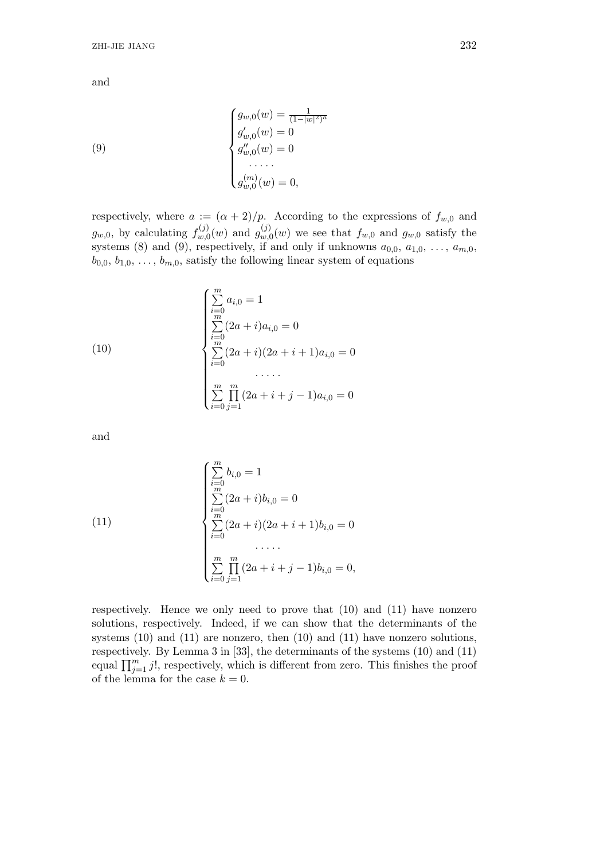(9)  

$$
\begin{cases}\ng_{w,0}(w) = \frac{1}{(1-|w|^2)^a} \\
g'_{w,0}(w) = 0 \\
g''_{w,0}(w) = 0 \\
\dots \\
g_{w,0}^{(m)}(w) = 0,\n\end{cases}
$$

respectively, where  $a := (\alpha + 2)/p$ . According to the expressions of  $f_{w,0}$  and  $g_{w,0}$ , by calculating  $f_{w,0}^{(j)}$  $g_{w,0}^{(j)}(w)$  and  $g_{w,0}^{(j)}$  $w_{w,0}^{(J)}(w)$  we see that  $f_{w,0}$  and  $g_{w,0}$  satisfy the systems (8) and (9), respectively, if and only if unknowns  $a_{0,0}, a_{1,0}, \ldots, a_{m,0}$ ,  $b_{0,0}, b_{1,0}, \ldots, b_{m,0}$ , satisfy the following linear system of equations

(10)  
\n
$$
\begin{cases}\n\sum_{i=0}^{m} a_{i,0} = 1 \\
\sum_{i=0}^{m} (2a+i)a_{i,0} = 0 \\
\sum_{i=0}^{m} (2a+i)(2a+i+1)a_{i,0} = 0 \\
\dots \\
\sum_{i=0}^{m} \prod_{j=1}^{m} (2a+i+j-1)a_{i,0} = 0\n\end{cases}
$$

and

(11)  
\n
$$
\begin{cases}\n\sum_{i=0}^{m} b_{i,0} = 1 \\
\sum_{i=0}^{m} (2a+i)b_{i,0} = 0 \\
\sum_{i=0}^{m} (2a+i)(2a+i+1)b_{i,0} = 0 \\
\dots \\
\sum_{i=0}^{m} \prod_{j=1}^{m} (2a+i+j-1)b_{i,0} = 0,\n\end{cases}
$$

respectively. Hence we only need to prove that (10) and (11) have nonzero solutions, respectively. Indeed, if we can show that the determinants of the systems (10) and (11) are nonzero, then (10) and (11) have nonzero solutions, respectively. By Lemma 3 in [33], the determinants of the systems (10) and (11) equal  $\prod_{j=1}^m j!$ , respectively, which is different from zero. This finishes the proof of the lemma for the case  $k = 0$ .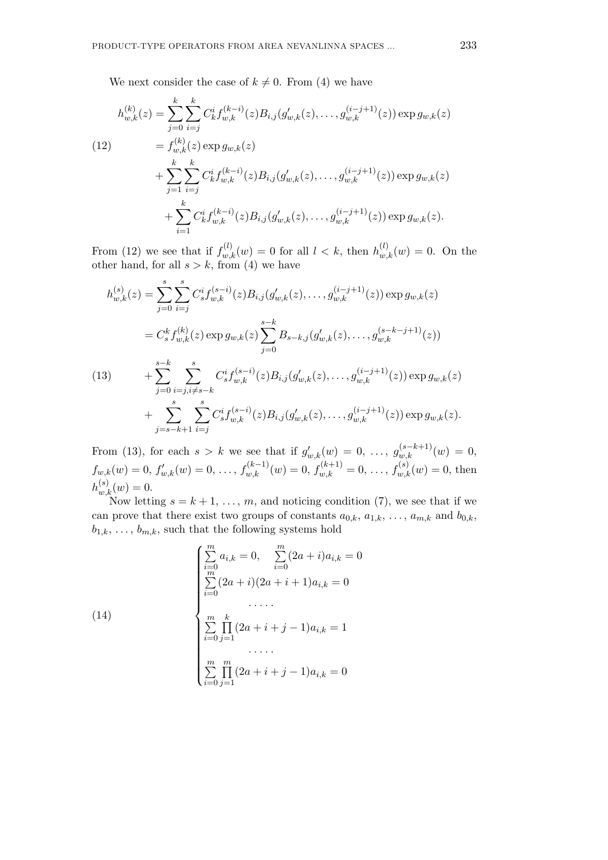We next consider the case of  $k \neq 0$ . From (4) we have

$$
h_{w,k}^{(k)}(z) = \sum_{j=0}^{k} \sum_{i=j}^{k} C_k^i f_{w,k}^{(k-i)}(z) B_{i,j}(g'_{w,k}(z), \dots, g_{w,k}^{(i-j+1)}(z)) \exp g_{w,k}(z)
$$
  
\n(12)  
\n
$$
= f_{w,k}^{(k)}(z) \exp g_{w,k}(z)
$$
  
\n
$$
+ \sum_{j=1}^{k} \sum_{i=j}^{k} C_k^i f_{w,k}^{(k-i)}(z) B_{i,j}(g'_{w,k}(z), \dots, g_{w,k}^{(i-j+1)}(z)) \exp g_{w,k}(z)
$$
  
\n
$$
+ \sum_{i=1}^{k} C_k^i f_{w,k}^{(k-i)}(z) B_{i,j}(g'_{w,k}(z), \dots, g_{w,k}^{(i-j+1)}(z)) \exp g_{w,k}(z).
$$

From (12) we see that if  $f_{w,k}^{(l)}(w) = 0$  for all  $l < k$ , then  $h_{w,k}^{(l)}(w) = 0$ . On the other hand, for all  $s > k$ , from (4) we have

$$
h_{w,k}^{(s)}(z) = \sum_{j=0}^{s} \sum_{i=j}^{s} C_s^i f_{w,k}^{(s-i)}(z) B_{i,j}(g'_{w,k}(z), \dots, g_{w,k}^{(i-j+1)}(z)) \exp g_{w,k}(z)
$$
  
\n
$$
= C_s^k f_{w,k}^{(k)}(z) \exp g_{w,k}(z) \sum_{j=0}^{s-k} B_{s-k,j}(g'_{w,k}(z), \dots, g_{w,k}^{(s-k-j+1)}(z))
$$
  
\n(13) 
$$
+ \sum_{j=0}^{s-k} \sum_{i=j,i\neq s-k}^{s} C_s^i f_{w,k}^{(s-i)}(z) B_{i,j}(g'_{w,k}(z), \dots, g_{w,k}^{(i-j+1)}(z)) \exp g_{w,k}(z)
$$
  
\n
$$
+ \sum_{j=s-k+1}^{s} \sum_{i=j}^{s} C_s^i f_{w,k}^{(s-i)}(z) B_{i,j}(g'_{w,k}(z), \dots, g_{w,k}^{(i-j+1)}(z)) \exp g_{w,k}(z).
$$

From (13), for each  $s > k$  we see that if  $g'_{w,k}(w) = 0, \ldots, g_{w,k}^{(s-k+1)}(w) = 0$ ,  $f_{w,k}(w) = 0, f'_{w,k}(w) = 0, \ldots, f_{w,k}^{(k-1)}(w) = 0, f_{w,k}^{(k+1)} = 0, \ldots, f_{w,k}^{(s)}(w) = 0$ , then  $h_{w,k}^{(s)}(w) = 0.$ 

Now letting  $s = k + 1, \ldots, m$ , and noticing condition (7), we see that if we can prove that there exist two groups of constants  $a_{0,k}$ ,  $a_{1,k}$ , ...,  $a_{m,k}$  and  $b_{0,k}$ ,  $b_{1,k}, \ldots, b_{m,k}$ , such that the following systems hold

(14)  

$$
\begin{cases}\n\sum_{i=0}^{m} a_{i,k} = 0, & \sum_{i=0}^{m} (2a+i)a_{i,k} = 0 \\
\sum_{i=0}^{m} (2a+i)(2a+i+1)a_{i,k} = 0 \\
& \dots \dots \\
\sum_{i=0}^{m} \prod_{j=1}^{k} (2a+i+j-1)a_{i,k} = 1 \\
& \dots \dots \\
\sum_{i=0}^{m} \prod_{j=1}^{m} (2a+i+j-1)a_{i,k} = 0\n\end{cases}
$$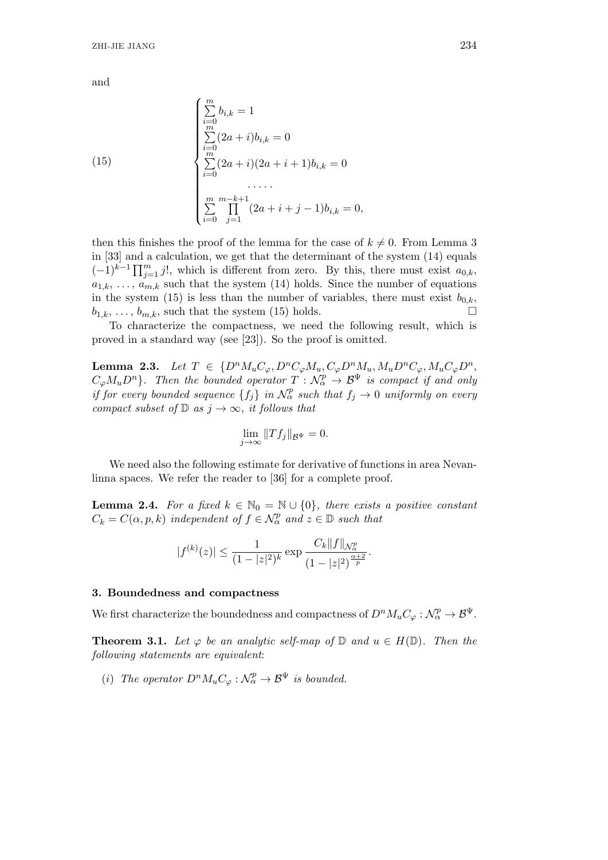(15)  
\n
$$
\begin{cases}\n\sum_{i=0}^{m} b_{i,k} = 1 \\
\sum_{i=0}^{m} (2a+i)b_{i,k} = 0 \\
\sum_{i=0}^{m} (2a+i)(2a+i+1)b_{i,k} = 0 \\
\dots \\
\sum_{i=0}^{m} \prod_{j=1}^{m-k+1} (2a+i+j-1)b_{i,k} = 0,\n\end{cases}
$$

then this finishes the proof of the lemma for the case of  $k \neq 0$ . From Lemma 3 in [33] and a calculation, we get that the determinant of the system (14) equals  $(-1)^{k-1} \prod_{j=1}^{m} j!$ , which is different from zero. By this, there must exist  $a_{0,k}$ ,  $a_{1,k}, \ldots, a_{m,k}$  such that the system (14) holds. Since the number of equations in the system (15) is less than the number of variables, there must exist  $b_{0,k}$ ,  $b_{1,k}, \ldots, b_{m,k}$ , such that the system (15) holds.

To characterize the compactness, we need the following result, which is proved in a standard way (see [23]). So the proof is omitted.

**Lemma 2.3.** Let  $T \in \{D^n M_u C_\varphi, D^n C_\varphi M_u, C_\varphi D^n M_u, M_u D^n C_\varphi, M_u C_\varphi D^n,$  $C_{\varphi}M_{u}D^{n}$ *}. Then the bounded operator*  $T: \mathcal{N}_{\alpha}^{p} \to \mathcal{B}^{\Psi}$  *is compact if and only if for every bounded sequence*  ${f_j}$  *in*  $N_\alpha^p$  *such that*  $f_j \to 0$  *uniformly on every compact subset of*  $\mathbb{D}$  *as*  $j \to \infty$ *, it follows that* 

$$
\lim_{j \to \infty} ||Tf_j||_{\mathcal{B}^{\Psi}} = 0.
$$

We need also the following estimate for derivative of functions in area Nevanlinna spaces. We refer the reader to [36] for a complete proof.

**Lemma 2.4.** *For a fixed*  $k \in \mathbb{N}_0 = \mathbb{N} \cup \{0\}$ *, there exists a positive constant*  $C_k = C(\alpha, p, k)$  *independent of*  $f \in \mathcal{N}_{\alpha}^p$  *and*  $z \in \mathbb{D}$  *such that* 

$$
|f^{(k)}(z)| \le \frac{1}{(1-|z|^2)^k} \exp \frac{C_k \|f\|_{\mathcal{N}_{\alpha}^p}}{(1-|z|^2)^{\frac{\alpha+2}{p}}}.
$$

#### **3. Boundedness and compactness**

We first characterize the boundedness and compactness of  $D^n M_u C_\varphi : \mathcal{N}_\alpha^p \to \mathcal{B}^\Psi$ .

**Theorem 3.1.** Let  $\varphi$  be an analytic self-map of  $\mathbb{D}$  and  $u \in H(\mathbb{D})$ . Then the *following statements are equivalent*:

(*i*) The operator  $D^n M_u C_\varphi : \mathcal{N}_\alpha^p \to \mathcal{B}^\Psi$  is bounded.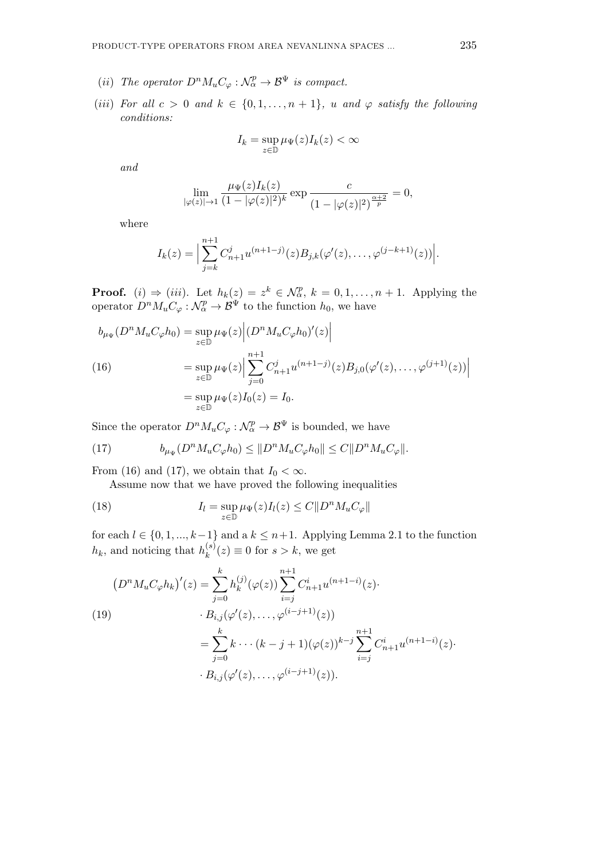- (*ii*) The operator  $D^n M_u C_\varphi : \mathcal{N}_\alpha^p \to \mathcal{B}^\Psi$  is compact.
- (*iii*) For all  $c > 0$  and  $k \in \{0, 1, \ldots, n+1\}$ , *u* and  $\varphi$  *satisfy the following conditions:*

$$
I_k = \sup_{z \in \mathbb{D}} \mu_{\Psi}(z) I_k(z) < \infty
$$

$$
\lim_{|\varphi(z)| \to 1} \frac{\mu_{\Psi}(z) I_k(z)}{(1 - |\varphi(z)|^2)^k} \exp \frac{c}{(1 - |\varphi(z)|^2)^{\frac{\alpha + 2}{p}}} = 0,
$$

where

$$
I_k(z) = \Big|\sum_{j=k}^{n+1} C_{n+1}^j u^{(n+1-j)}(z) B_{j,k}(\varphi'(z), \dots, \varphi^{(j-k+1)}(z))\Big|.
$$

**Proof.** (*i*)  $\Rightarrow$  (*iii*). Let  $h_k(z) = z^k \in \mathcal{N}_{\alpha}^p$ ,  $k = 0, 1, \ldots, n + 1$ . Applying the operator  $D^n M_u C_\varphi : \mathcal{N}_\alpha^p \to \mathcal{B}^\Psi$  to the function  $h_0$ , we have

$$
b_{\mu_{\Psi}}(D^n M_u C_{\varphi} h_0) = \sup_{z \in \mathbb{D}} \mu_{\Psi}(z) | (D^n M_u C_{\varphi} h_0)'(z)|
$$
  
(16)  

$$
= \sup_{z \in \mathbb{D}} \mu_{\Psi}(z) | \sum_{j=0}^{n+1} C_{n+1}^j u^{(n+1-j)}(z) B_{j,0}(\varphi'(z), \dots, \varphi^{(j+1)}(z)) |
$$
  

$$
= \sup_{z \in \mathbb{D}} \mu_{\Psi}(z) I_0(z) = I_0.
$$

Since the operator  $D^n M_u C_\varphi : \mathcal{N}_\alpha^p \to \mathcal{B}^\Psi$  is bounded, we have

(17) 
$$
b_{\mu\Psi}(D^n M_u C_{\varphi} h_0) \leq ||D^n M_u C_{\varphi} h_0|| \leq C ||D^n M_u C_{\varphi}||.
$$

From (16) and (17), we obtain that  $I_0 < \infty$ .

Assume now that we have proved the following inequalities

(18) 
$$
I_{l} = \sup_{z \in \mathbb{D}} \mu_{\Psi}(z) I_{l}(z) \leq C \| D^{n} M_{u} C_{\varphi} \|
$$

for each  $l \in \{0, 1, ..., k-1\}$  and a  $k \leq n+1$ . Applying Lemma 2.1 to the function  $h_k$ , and noticing that  $h_k^{(s)}$  $f_k^{(s)}(z) \equiv 0$  for  $s > k$ , we get

$$
(D^{n} M_{u} C_{\varphi} h_{k})'(z) = \sum_{j=0}^{k} h_{k}^{(j)}(\varphi(z)) \sum_{i=j}^{n+1} C_{n+1}^{i} u^{(n+1-i)}(z).
$$
  
(19)  

$$
\qquad \qquad \cdot B_{i,j}(\varphi'(z), \dots, \varphi^{(i-j+1)}(z))
$$
  

$$
= \sum_{j=0}^{k} k \cdots (k-j+1) (\varphi(z))^{k-j} \sum_{i=j}^{n+1} C_{n+1}^{i} u^{(n+1-i)}(z).
$$
  

$$
\cdot B_{i,j}(\varphi'(z), \dots, \varphi^{(i-j+1)}(z)).
$$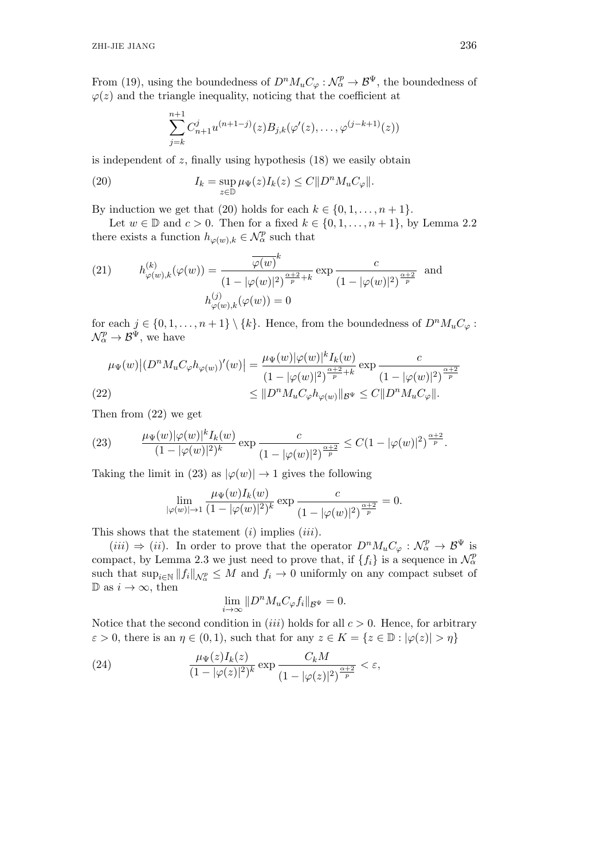From (19), using the boundedness of  $D^n M_u C_\varphi : \mathcal{N}_\alpha^p \to \mathcal{B}^\Psi$ , the boundedness of  $\varphi(z)$  and the triangle inequality, noticing that the coefficient at

$$
\sum_{j=k}^{n+1} C_{n+1}^j u^{(n+1-j)}(z) B_{j,k}(\varphi'(z), \dots, \varphi^{(j-k+1)}(z))
$$

is independent of *z*, finally using hypothesis (18) we easily obtain

(20) 
$$
I_k = \sup_{z \in \mathbb{D}} \mu_{\Psi}(z) I_k(z) \leq C ||D^n M_u C_{\varphi}||.
$$

By induction we get that (20) holds for each  $k \in \{0, 1, \ldots, n+1\}$ .

Let  $w \in \mathbb{D}$  and  $c > 0$ . Then for a fixed  $k \in \{0, 1, \ldots, n+1\}$ , by Lemma 2.2 there exists a function  $h_{\varphi(w),k} \in \mathcal{N}_{\alpha}^p$  such that

(21) 
$$
h_{\varphi(w),k}^{(k)}(\varphi(w)) = \frac{\overline{\varphi(w)}^k}{(1 - |\varphi(w)|^2)^{\frac{\alpha+2}{p}+k}} \exp \frac{c}{(1 - |\varphi(w)|^2)^{\frac{\alpha+2}{p}}} \text{ and}
$$

$$
h_{\varphi(w),k}^{(j)}(\varphi(w)) = 0
$$

for each  $j \in \{0, 1, \ldots, n+1\} \setminus \{k\}$ . Hence, from the boundedness of  $D^n M_u C_\varphi$ :  $\mathcal{N}_{\alpha}^p \rightarrow \mathcal{B}^{\Psi}$ , we have

$$
\mu_{\Psi}(w) | (D^n M_u C_{\varphi} h_{\varphi(w)})'(w) | = \frac{\mu_{\Psi}(w) |\varphi(w)|^k I_k(w)}{(1 - |\varphi(w)|^2)^{\frac{\alpha + 2}{p} + k}} \exp \frac{c}{(1 - |\varphi(w)|^2)^{\frac{\alpha + 2}{p}}}
$$
  
(22)  

$$
\leq ||D^n M_u C_{\varphi} h_{\varphi(w)}||_{\mathcal{B}^{\Psi}} \leq C ||D^n M_u C_{\varphi}||.
$$

Then from (22) we get

(23) 
$$
\frac{\mu_{\Psi}(w)|\varphi(w)|^k I_k(w)}{(1-|\varphi(w)|^2)^k} \exp \frac{c}{(1-|\varphi(w)|^2)^{\frac{\alpha+2}{p}}} \leq C(1-|\varphi(w)|^2)^{\frac{\alpha+2}{p}}.
$$

Taking the limit in (23) as  $|\varphi(w)| \to 1$  gives the following

$$
\lim_{|\varphi(w)| \to 1} \frac{\mu_{\Psi}(w) I_k(w)}{(1 - |\varphi(w)|^2)^k} \exp \frac{c}{(1 - |\varphi(w)|^2)^{\frac{\alpha + 2}{p}}} = 0.
$$

This shows that the statement (*i*) implies (*iii*).

 $(iii) \Rightarrow (ii)$ . In order to prove that the operator  $D^n M_u C_\varphi : \mathcal{N}_\alpha^p \to \mathcal{B}^\Psi$  is compact, by Lemma 2.3 we just need to prove that, if  $\{f_i\}$  is a sequence in  $\mathcal{N}^p_\alpha$ such that  $\sup_{i \in \mathbb{N}} ||f_i||_{\mathcal{N}^p_{\alpha}} \leq M$  and  $f_i \to 0$  uniformly on any compact subset of  $\n D$  as *i* → ∞, then

$$
\lim_{i \to \infty} ||D^n M_u C_{\varphi} f_i||_{\mathcal{B}^{\Psi}} = 0.
$$

Notice that the second condition in *(iii)* holds for all  $c > 0$ . Hence, for arbitrary  $\varepsilon > 0$ , there is an  $\eta \in (0,1)$ , such that for any  $z \in K = \{z \in \mathbb{D} : |\varphi(z)| > \eta\}$ 

(24) 
$$
\frac{\mu_{\Psi}(z)I_{k}(z)}{(1-|\varphi(z)|^{2})^{k}} \exp \frac{C_{k}M}{(1-|\varphi(z)|^{2})^{\frac{\alpha+2}{p}}} < \varepsilon,
$$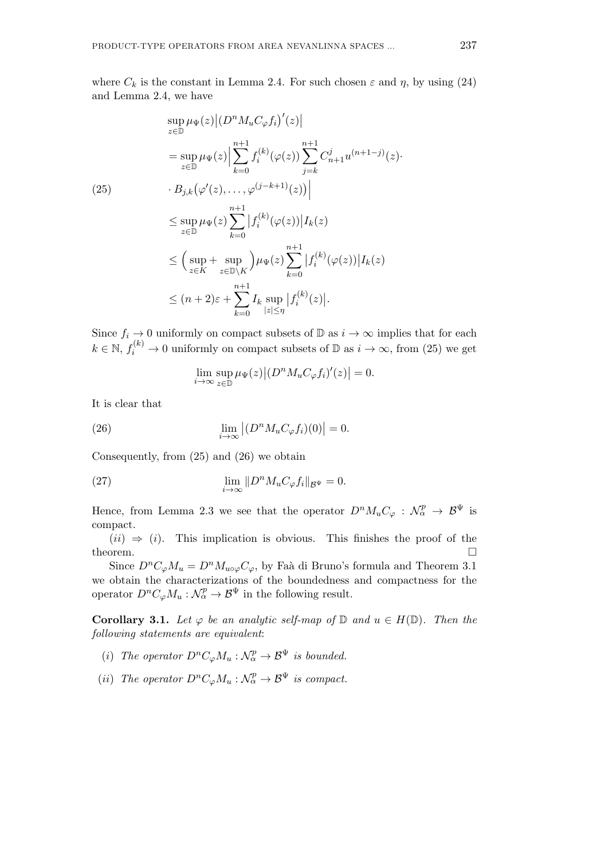where  $C_k$  is the constant in Lemma 2.4. For such chosen  $\varepsilon$  and  $\eta$ , by using (24) and Lemma 2.4, we have

$$
\sup_{z \in \mathbb{D}} \mu_{\Psi}(z) | (D^n M_u C_{\varphi} f_i)'(z)|
$$
\n
$$
= \sup_{z \in \mathbb{D}} \mu_{\Psi}(z) | \sum_{k=0}^{n+1} f_i^{(k)}(\varphi(z)) \sum_{j=k}^{n+1} C_{n+1}^j u^{(n+1-j)}(z).
$$
\n(25)\n
$$
B_{j,k} (\varphi'(z), \dots, \varphi^{(j-k+1)}(z)) |
$$
\n
$$
\leq \sup_{z \in \mathbb{D}} \mu_{\Psi}(z) \sum_{k=0}^{n+1} |f_i^{(k)}(\varphi(z))| I_k(z)
$$
\n
$$
\leq \Big( \sup_{z \in K} + \sup_{z \in \mathbb{D} \setminus K} \Big) \mu_{\Psi}(z) \sum_{k=0}^{n+1} |f_i^{(k)}(\varphi(z))| I_k(z)
$$
\n
$$
\leq (n+2)\varepsilon + \sum_{k=0}^{n+1} I_k \sup_{|z| \leq \eta} |f_i^{(k)}(z)|.
$$

Since  $f_i \to 0$  uniformly on compact subsets of  $\mathbb{D}$  as  $i \to \infty$  implies that for each  $k \in \mathbb{N}$ ,  $f_i^{(k)} \to 0$  uniformly on compact subsets of  $\mathbb{D}$  as  $i \to \infty$ , from (25) we get

$$
\lim_{i \to \infty} \sup_{z \in \mathbb{D}} \mu_{\Psi}(z) |(D^n M_u C_{\varphi} f_i)'(z)| = 0.
$$

It is clear that

(26) 
$$
\lim_{i \to \infty} |(D^n M_u C_\varphi f_i)(0)| = 0.
$$

Consequently, from (25) and (26) we obtain

(27) 
$$
\lim_{i \to \infty} ||D^n M_u C_{\varphi} f_i||_{\mathcal{B}^{\Psi}} = 0.
$$

Hence, from Lemma 2.3 we see that the operator  $D^n M_u C_\varphi : \mathcal{N}_\alpha^p \to \mathcal{B}^\Psi$  is compact.

 $(ii) \Rightarrow (i)$ . This implication is obvious. This finishes the proof of the theorem.  $\Box$ 

Since  $D^n C_{\varphi} M_u = D^n M_{u \circ \varphi} C_{\varphi}$ , by Faà di Bruno's formula and Theorem 3.1 we obtain the characterizations of the boundedness and compactness for the operator  $D^n C_{\varphi} M_u : \mathcal{N}_{\alpha}^p \to \mathcal{B}^{\Psi}$  in the following result.

**Corollary 3.1.** *Let*  $\varphi$  *be an analytic self-map of*  $\mathbb{D}$  *and*  $u \in H(\mathbb{D})$ *. Then the following statements are equivalent*:

- (*i*) The operator  $D^n C_{\varphi} M_u : \mathcal{N}_{\alpha}^p \to \mathcal{B}^{\Psi}$  is bounded.
- (*ii*) The operator  $D^n C_{\varphi} M_u : \mathcal{N}_{\alpha}^p \to \mathcal{B}^{\Psi}$  is compact.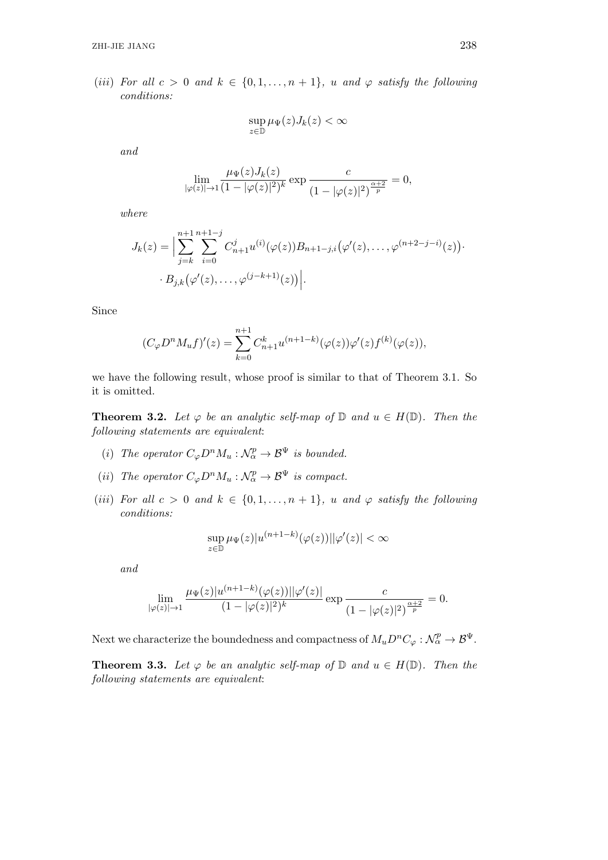(*iii*) For all  $c > 0$  and  $k \in \{0, 1, \ldots, n+1\}$ , *u* and  $\varphi$  *satisfy the following conditions:*

$$
\sup_{z \in \mathbb{D}} \mu_{\Psi}(z) J_k(z) < \infty
$$

*and*

$$
\lim_{|\varphi(z)| \to 1} \frac{\mu_{\Psi}(z) J_k(z)}{(1 - |\varphi(z)|^2)^k} \exp \frac{c}{(1 - |\varphi(z)|^2)^{\frac{\alpha + 2}{p}}} = 0,
$$

*where*

$$
J_k(z) = \Big| \sum_{j=k}^{n+1} \sum_{i=0}^{n+1-j} C_{n+1}^j u^{(i)}(\varphi(z)) B_{n+1-j,i}(\varphi'(z), \dots, \varphi^{(n+2-j-i)}(z)) \Big|.
$$
  
 
$$
B_{j,k}(\varphi'(z), \dots, \varphi^{(j-k+1)}(z)) \Big|.
$$

Since

$$
(C_{\varphi}D^{n}M_{u}f)'(z) = \sum_{k=0}^{n+1} C_{n+1}^{k} u^{(n+1-k)}(\varphi(z))\varphi'(z)f^{(k)}(\varphi(z)),
$$

we have the following result, whose proof is similar to that of Theorem 3.1. So it is omitted.

**Theorem 3.2.** *Let*  $\varphi$  *be an analytic self-map of*  $\mathbb{D}$  *and*  $u \in H(\mathbb{D})$ *. Then the following statements are equivalent*:

- (*i*) The operator  $C_{\varphi}D^nM_u:\mathcal{N}_{\alpha}^p\to\mathcal{B}^{\Psi}$  is bounded.
- (*ii*) The operator  $C_{\varphi}D^nM_u:\mathcal{N}_{\alpha}^p\to\mathcal{B}^{\Psi}$  is compact.
- (*iii*) For all  $c > 0$  and  $k \in \{0, 1, \ldots, n+1\}$ , *u* and  $\varphi$  *satisfy the following conditions:*

$$
\sup_{z\in\mathbb{D}}\mu_\Psi(z)|u^{(n+1-k)}(\varphi(z))||\varphi'(z)|<\infty
$$

*and*

$$
\lim_{|\varphi(z)| \to 1} \frac{\mu_{\Psi}(z)|u^{(n+1-k)}(\varphi(z))||\varphi'(z)|}{(1-|\varphi(z)|^2)^k} \exp \frac{c}{(1-|\varphi(z)|^2)^{\frac{\alpha+2}{p}}} = 0.
$$

Next we characterize the boundedness and compactness of  $M_u D^n C_\varphi : \mathcal{N}_\alpha^p \to \mathcal{B}^\Psi$ .

**Theorem 3.3.** Let  $\varphi$  be an analytic self-map of  $\mathbb{D}$  and  $u \in H(\mathbb{D})$ . Then the *following statements are equivalent*: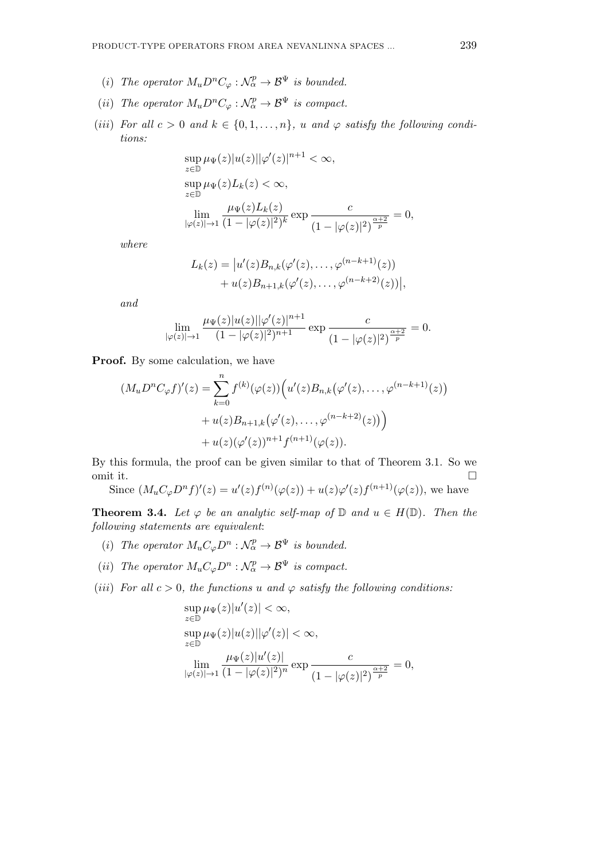- (*i*) The operator  $M_u D^n C_\varphi : \mathcal{N}_\alpha^p \to \mathcal{B}^\Psi$  is bounded.
- (*ii*) The operator  $M_u D^n C_\varphi : \mathcal{N}_\alpha^p \to \mathcal{B}^\Psi$  is compact.
- (*iii*) For all  $c > 0$  and  $k \in \{0, 1, \ldots, n\}$ , *u* and  $\varphi$  *satisfy the following conditions:*

$$
\sup_{z \in \mathbb{D}} \mu_{\Psi}(z)|u(z)||\varphi'(z)|^{n+1} < \infty,
$$
  
\n
$$
\sup_{z \in \mathbb{D}} \mu_{\Psi}(z)L_k(z) < \infty,
$$
  
\n
$$
\lim_{|\varphi(z)| \to 1} \frac{\mu_{\Psi}(z)L_k(z)}{(1 - |\varphi(z)|^2)^k} \exp \frac{c}{(1 - |\varphi(z)|^2)^{\frac{\alpha+2}{p}}} =
$$

*where*

$$
L_k(z) = |u'(z)B_{n,k}(\varphi'(z), \dots, \varphi^{(n-k+1)}(z))+ u(z)B_{n+1,k}(\varphi'(z), \dots, \varphi^{(n-k+2)}(z))|,
$$

*and*

$$
\lim_{|\varphi(z)| \to 1} \frac{\mu_{\Psi}(z)|u(z)||\varphi'(z)|^{n+1}}{(1 - |\varphi(z)|^2)^{n+1}} \exp \frac{c}{(1 - |\varphi(z)|^2)^{\frac{\alpha+2}{p}}} = 0.
$$

**Proof.** By some calculation, we have

$$
(M_u D^n C_{\varphi} f)'(z) = \sum_{k=0}^n f^{(k)}(\varphi(z)) \Big( u'(z) B_{n,k}(\varphi'(z), \dots, \varphi^{(n-k+1)}(z)) + u(z) B_{n+1,k}(\varphi'(z), \dots, \varphi^{(n-k+2)}(z)) \Big) + u(z) (\varphi'(z))^{n+1} f^{(n+1)}(\varphi(z)).
$$

By this formula, the proof can be given similar to that of Theorem 3.1. So we omit it.

Since  $(M_u C_{\varphi} D^n f)'(z) = u'(z) f^{(n)}(\varphi(z)) + u(z) \varphi'(z) f^{(n+1)}(\varphi(z)),$  we have

**Theorem 3.4.** *Let*  $\varphi$  *be an analytic self-map of*  $\mathbb{D}$  *and*  $u \in H(\mathbb{D})$ *. Then the following statements are equivalent*:

- (*i*) The operator  $M_uC_{\varphi}D^n:\mathcal{N}_{\alpha}^p\to\mathcal{B}^{\Psi}$  is bounded.
- (*ii*) The operator  $M_u C_\varphi D^n : \mathcal{N}_\alpha^p \to \mathcal{B}^\Psi$  is compact.
- (*iii*) *For all*  $c > 0$ *, the functions*  $u$  *and*  $\varphi$  *satisfy the following conditions:*

$$
\sup_{z \in \mathbb{D}} \mu_{\Psi}(z)|u'(z)| < \infty,
$$
  
\n
$$
\sup_{z \in \mathbb{D}} \mu_{\Psi}(z)|u(z)||\varphi'(z)| < \infty,
$$
  
\n
$$
\lim_{|\varphi(z)| \to 1} \frac{\mu_{\Psi}(z)|u'(z)|}{(1 - |\varphi(z)|^2)^n} \exp \frac{c}{(1 - |\varphi(z)|^2)^{\frac{\alpha + 2}{p}}} = 0,
$$

= 0*,*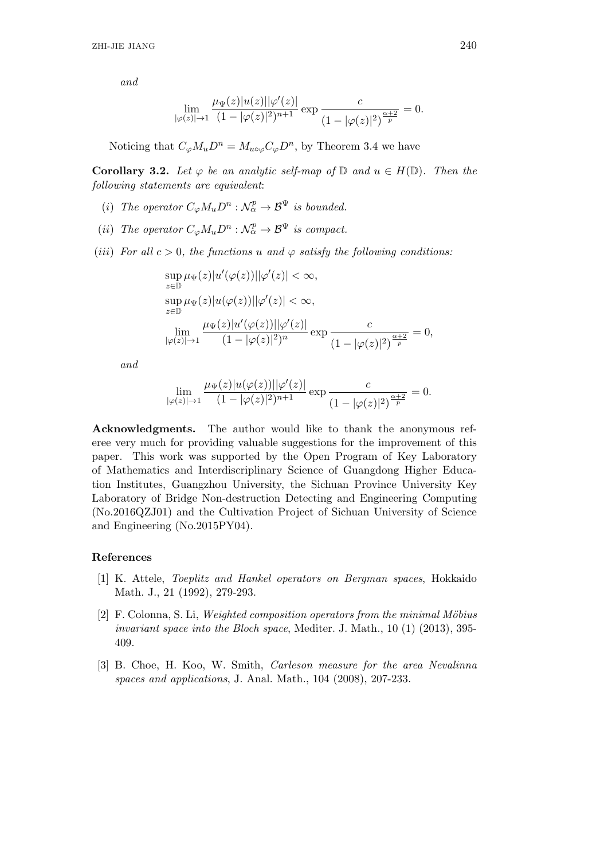$$
\lim_{|\varphi(z)| \to 1} \frac{\mu_{\Psi}(z)|u(z)||\varphi'(z)|}{(1 - |\varphi(z)|^2)^{n+1}} \exp \frac{c}{(1 - |\varphi(z)|^2)^{\frac{\alpha+2}{p}}} = 0.
$$

Noticing that  $C_{\varphi}M_uD^n = M_{u\circ\varphi}C_{\varphi}D^n$ , by Theorem 3.4 we have

**Corollary 3.2.** *Let*  $\varphi$  *be an analytic self-map of*  $\mathbb{D}$  *and*  $u \in H(\mathbb{D})$ *. Then the following statements are equivalent*:

- (*i*) The operator  $C_{\varphi}M_{u}D^{n}$ :  $\mathcal{N}_{\alpha}^{p} \to \mathcal{B}^{\Psi}$  is bounded.
- (*ii*) The operator  $C_{\varphi}M_uD^n:\mathcal{N}_{\alpha}^p\to\mathcal{B}^{\Psi}$  is compact.
- (*iii*) *For all*  $c > 0$ *, the functions*  $u$  *and*  $\varphi$  *satisfy the following conditions:*

$$
\sup_{z \in \mathbb{D}} \mu_{\Psi}(z)|u'(\varphi(z))||\varphi'(z)| < \infty,
$$
  
\n
$$
\sup_{z \in \mathbb{D}} \mu_{\Psi}(z)|u(\varphi(z))||\varphi'(z)| < \infty,
$$
  
\n
$$
\lim_{|\varphi(z)| \to 1} \frac{\mu_{\Psi}(z)|u'(\varphi(z))||\varphi'(z)|}{(1 - |\varphi(z)|^2)^n} \exp \frac{c}{(1 - |\varphi(z)|^2)^{\frac{\alpha + 2}{p}}} = 0,
$$

*and*

$$
\lim_{|\varphi(z)| \to 1} \frac{\mu_{\Psi}(z)|u(\varphi(z))||\varphi'(z)|}{(1 - |\varphi(z)|^2)^{n+1}} \exp \frac{c}{(1 - |\varphi(z)|^2)^{\frac{\alpha+2}{p}}} = 0.
$$

**Acknowledgments.** The author would like to thank the anonymous referee very much for providing valuable suggestions for the improvement of this paper. This work was supported by the Open Program of Key Laboratory of Mathematics and Interdiscriplinary Science of Guangdong Higher Education Institutes, Guangzhou University, the Sichuan Province University Key Laboratory of Bridge Non-destruction Detecting and Engineering Computing (No.2016QZJ01) and the Cultivation Project of Sichuan University of Science and Engineering (No.2015PY04).

# **References**

- [1] K. Attele, *Toeplitz and Hankel operators on Bergman spaces*, Hokkaido Math. J., 21 (1992), 279-293.
- [2] F. Colonna, S. Li, *Weighted composition operators from the minimal M¨obius invariant space into the Bloch space*, Mediter. J. Math., 10 (1) (2013), 395- 409.
- [3] B. Choe, H. Koo, W. Smith, *Carleson measure for the area Nevalinna spaces and applications*, J. Anal. Math., 104 (2008), 207-233.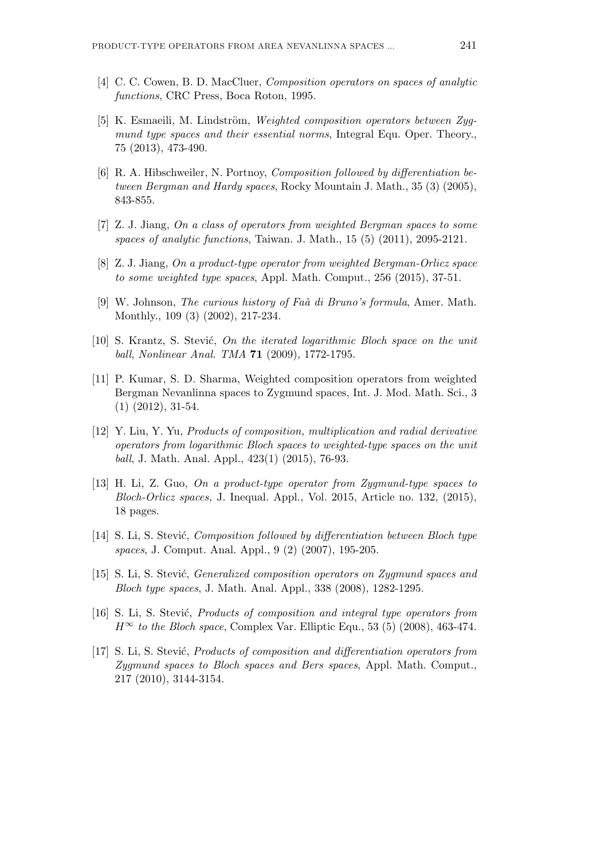- [4] C. C. Cowen, B. D. MacCluer, *Composition operators on spaces of analytic functions*, CRC Press, Boca Roton, 1995.
- [5] K. Esmaeili, M. Lindström, *Weighted composition operators between Zygmund type spaces and their essential norms*, Integral Equ. Oper. Theory., 75 (2013), 473-490.
- [6] R. A. Hibschweiler, N. Portnoy, *Composition followed by differentiation between Bergman and Hardy spaces*, Rocky Mountain J. Math., 35 (3) (2005), 843-855.
- [7] Z. J. Jiang, *On a class of operators from weighted Bergman spaces to some spaces of analytic functions*, Taiwan. J. Math., 15 (5) (2011), 2095-2121.
- [8] Z. J. Jiang, *On a product-type operator from weighted Bergman-Orlicz space to some weighted type spaces*, Appl. Math. Comput., 256 (2015), 37-51.
- [9] W. Johnson, *The curious history of Faà di Bruno's formula*, Amer. Math. Monthly., 109 (3) (2002), 217-234.
- [10] S. Krantz, S. Stevi´c, *On the iterated logarithmic Bloch space on the unit ball*, *Nonlinear Anal. TMA* **71** (2009), 1772-1795.
- [11] P. Kumar, S. D. Sharma, Weighted composition operators from weighted Bergman Nevanlinna spaces to Zygmund spaces, Int. J. Mod. Math. Sci., 3 (1) (2012), 31-54.
- [12] Y. Liu, Y. Yu, *Products of composition, multiplication and radial derivative operators from logarithmic Bloch spaces to weighted-type spaces on the unit ball*, J. Math. Anal. Appl., 423(1) (2015), 76-93.
- [13] H. Li, Z. Guo, *On a product-type operator from Zygmund-type spaces to Bloch-Orlicz spaces,* J. Inequal. Appl., Vol. 2015, Article no. 132, (2015), 18 pages.
- [14] S. Li, S. Stević, *Composition followed by differentiation between Bloch type spaces*, J. Comput. Anal. Appl., 9 (2) (2007), 195-205.
- [15] S. Li, S. Stević, *Generalized composition operators on Zygmund spaces and Bloch type spaces*, J. Math. Anal. Appl., 338 (2008), 1282-1295.
- [16] S. Li, S. Stevi´c, *Products of composition and integral type operators from*  $H^\infty$  *to the Bloch space*, Complex Var. Elliptic Equ., 53 (5) (2008), 463-474.
- [17] S. Li, S. Stevi´c, *Products of composition and differentiation operators from Zygmund spaces to Bloch spaces and Bers spaces*, Appl. Math. Comput., 217 (2010), 3144-3154.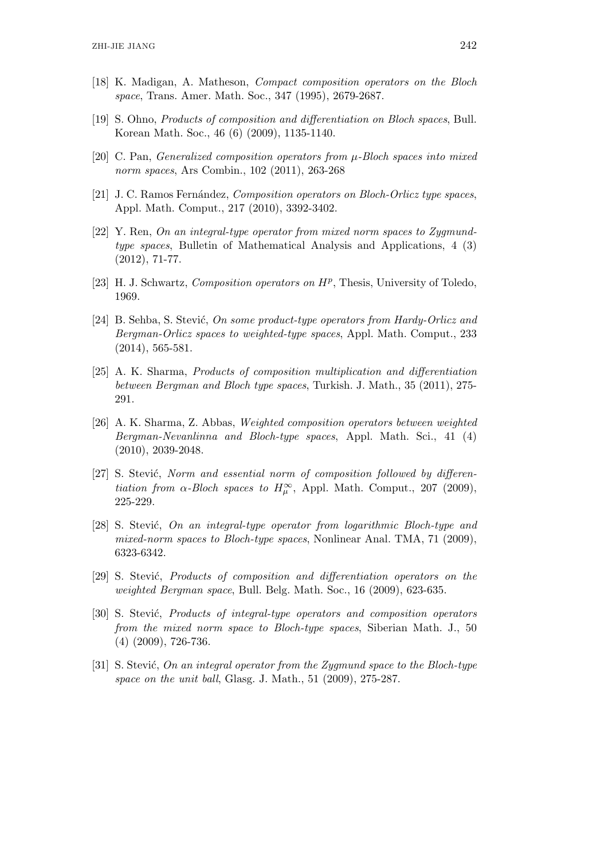- [18] K. Madigan, A. Matheson, *Compact composition operators on the Bloch space*, Trans. Amer. Math. Soc., 347 (1995), 2679-2687.
- [19] S. Ohno, *Products of composition and differentiation on Bloch spaces*, Bull. Korean Math. Soc., 46 (6) (2009), 1135-1140.
- [20] C. Pan, *Generalized composition operators from µ-Bloch spaces into mixed norm spaces*, Ars Combin., 102 (2011), 263-268
- [21] J. C. Ramos Fernández, *Composition operators on Bloch-Orlicz type spaces*, Appl. Math. Comput., 217 (2010), 3392-3402.
- [22] Y. Ren, *On an integral-type operator from mixed norm spaces to Zygmundtype spaces*, Bulletin of Mathematical Analysis and Applications, 4 (3) (2012), 71-77.
- [23] H. J. Schwartz, *Composition operators on H<sup>p</sup>* , Thesis, University of Toledo, 1969.
- [24] B. Sehba, S. Stevi´c, *On some product-type operators from Hardy-Orlicz and Bergman-Orlicz spaces to weighted-type spaces*, Appl. Math. Comput., 233 (2014), 565-581.
- [25] A. K. Sharma, *Products of composition multiplication and differentiation between Bergman and Bloch type spaces*, Turkish. J. Math., 35 (2011), 275- 291.
- [26] A. K. Sharma, Z. Abbas, *Weighted composition operators between weighted Bergman-Nevanlinna and Bloch-type spaces*, Appl. Math. Sci., 41 (4) (2010), 2039-2048.
- [27] S. Stević, *Norm and essential norm of composition followed by differentiation from*  $\alpha$ -*Bloch spaces to*  $H^{\infty}_{\mu}$ , Appl. Math. Comput., 207 (2009), 225-229.
- [28] S. Stevi´c, *On an integral-type operator from logarithmic Bloch-type and mixed-norm spaces to Bloch-type spaces*, Nonlinear Anal. TMA, 71 (2009), 6323-6342.
- [29] S. Stević, *Products of composition and differentiation operators on the weighted Bergman space*, Bull. Belg. Math. Soc., 16 (2009), 623-635.
- [30] S. Stevi´c, *Products of integral-type operators and composition operators from the mixed norm space to Bloch-type spaces*, Siberian Math. J., 50 (4) (2009), 726-736.
- [31] S. Stević, *On an integral operator from the Zygmund space to the Bloch-type space on the unit ball*, Glasg. J. Math., 51 (2009), 275-287.